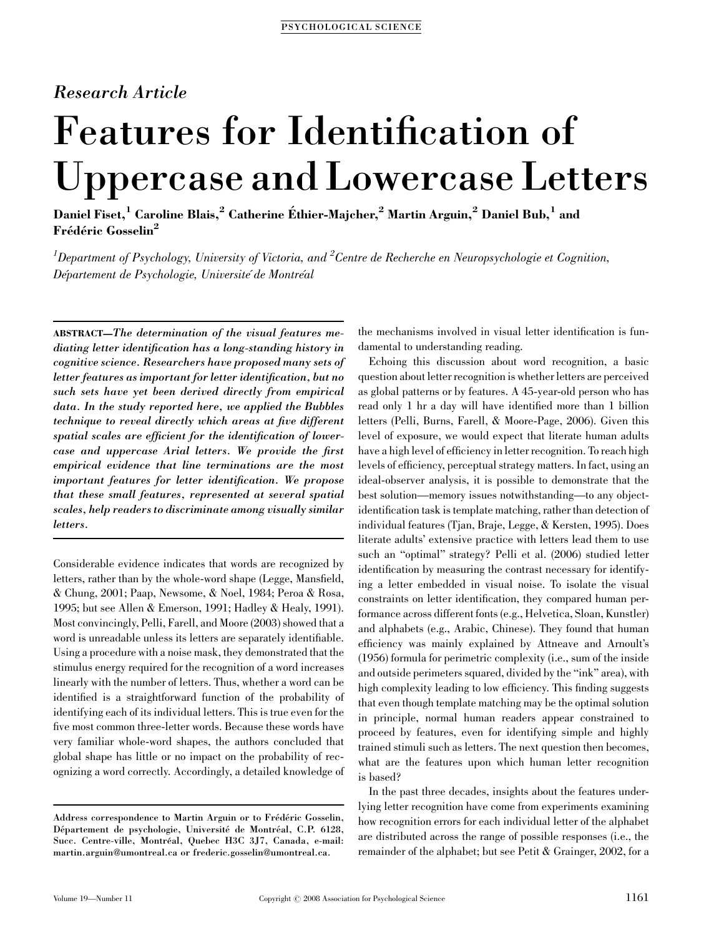# Research Article

# Features for Identification of Uppercase and Lowercase Letters

Daniel Fiset,<sup>1</sup> Caroline Blais,<sup>2</sup> Catherine Éthier-Majcher,<sup>2</sup> Martin Arguin,<sup>2</sup> Daniel Bub,<sup>1</sup> and Frédéric Gosselin $^2$ 

 $^1$ Department of Psychology, University of Victoria, and  $^2$ Centre de Recherche en Neuropsychologie et Cognition, Département de Psychologie, Université de Montréal

ABSTRACT—The determination of the visual features mediating letter identification has a long-standing history in cognitive science. Researchers have proposed many sets of letter features as important for letter identification, but no such sets have yet been derived directly from empirical data. In the study reported here, we applied the Bubbles technique to reveal directly which areas at five different spatial scales are efficient for the identification of lowercase and uppercase Arial letters. We provide the first empirical evidence that line terminations are the most important features for letter identification. We propose that these small features, represented at several spatial scales, help readers to discriminate among visually similar letters.

Considerable evidence indicates that words are recognized by letters, rather than by the whole-word shape (Legge, Mansfield, & Chung, 2001; Paap, Newsome, & Noel, 1984; Peroa & Rosa, 1995; but see Allen & Emerson, 1991; Hadley & Healy, 1991). Most convincingly, Pelli, Farell, and Moore (2003) showed that a word is unreadable unless its letters are separately identifiable. Using a procedure with a noise mask, they demonstrated that the stimulus energy required for the recognition of a word increases linearly with the number of letters. Thus, whether a word can be identified is a straightforward function of the probability of identifying each of its individual letters. This is true even for the five most common three-letter words. Because these words have very familiar whole-word shapes, the authors concluded that global shape has little or no impact on the probability of recognizing a word correctly. Accordingly, a detailed knowledge of

the mechanisms involved in visual letter identification is fundamental to understanding reading.

Echoing this discussion about word recognition, a basic question about letter recognition is whether letters are perceived as global patterns or by features. A 45-year-old person who has read only 1 hr a day will have identified more than 1 billion letters (Pelli, Burns, Farell, & Moore-Page, 2006). Given this level of exposure, we would expect that literate human adults have a high level of efficiency in letter recognition. To reach high levels of efficiency, perceptual strategy matters. In fact, using an ideal-observer analysis, it is possible to demonstrate that the best solution—memory issues notwithstanding—to any objectidentification task is template matching, rather than detection of individual features (Tjan, Braje, Legge, & Kersten, 1995). Does literate adults' extensive practice with letters lead them to use such an ''optimal'' strategy? Pelli et al. (2006) studied letter identification by measuring the contrast necessary for identifying a letter embedded in visual noise. To isolate the visual constraints on letter identification, they compared human performance across different fonts (e.g., Helvetica, Sloan, Kunstler) and alphabets (e.g., Arabic, Chinese). They found that human efficiency was mainly explained by Attneave and Arnoult's (1956) formula for perimetric complexity (i.e., sum of the inside and outside perimeters squared, divided by the ''ink'' area), with high complexity leading to low efficiency. This finding suggests that even though template matching may be the optimal solution in principle, normal human readers appear constrained to proceed by features, even for identifying simple and highly trained stimuli such as letters. The next question then becomes, what are the features upon which human letter recognition is based?

In the past three decades, insights about the features underlying letter recognition have come from experiments examining how recognition errors for each individual letter of the alphabet are distributed across the range of possible responses (i.e., the remainder of the alphabet; but see Petit & Grainger, 2002, for a

Address correspondence to Martin Arguin or to Frédéric Gosselin, Département de psychologie, Université de Montréal, C.P. 6128, Succ. Centre-ville, Montréal, Quebec H3C 3J7, Canada, e-mail: martin.arguin@umontreal.ca or frederic.gosselin@umontreal.ca.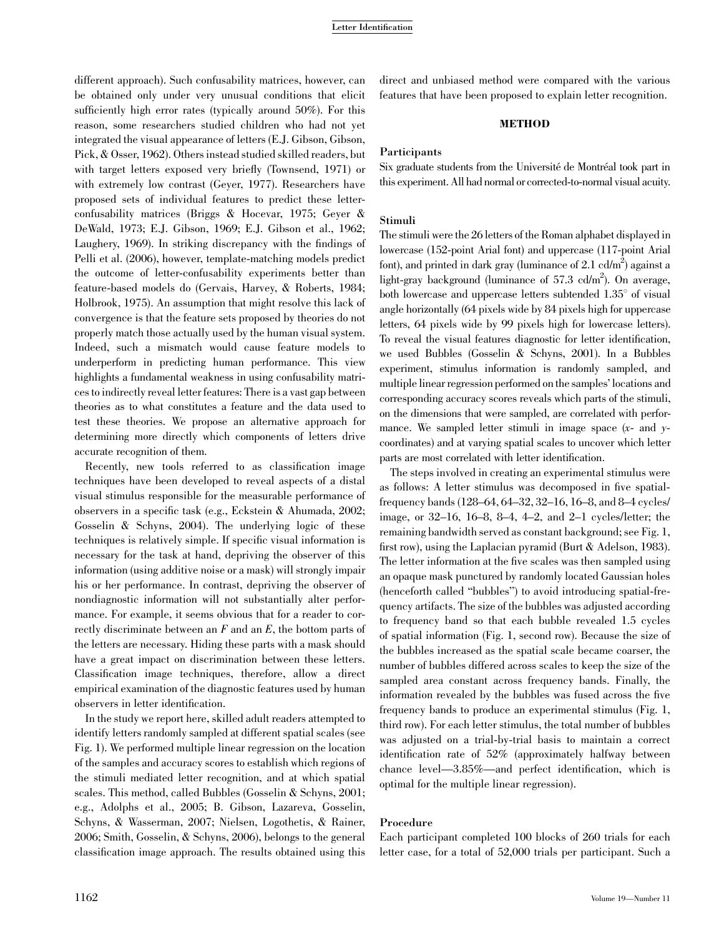different approach). Such confusability matrices, however, can be obtained only under very unusual conditions that elicit sufficiently high error rates (typically around 50%). For this reason, some researchers studied children who had not yet integrated the visual appearance of letters (E.J. Gibson, Gibson, Pick, & Osser, 1962). Others instead studied skilled readers, but with target letters exposed very briefly (Townsend, 1971) or with extremely low contrast (Geyer, 1977). Researchers have proposed sets of individual features to predict these letterconfusability matrices (Briggs & Hocevar, 1975; Geyer & DeWald, 1973; E.J. Gibson, 1969; E.J. Gibson et al., 1962; Laughery, 1969). In striking discrepancy with the findings of Pelli et al. (2006), however, template-matching models predict the outcome of letter-confusability experiments better than feature-based models do (Gervais, Harvey, & Roberts, 1984; Holbrook, 1975). An assumption that might resolve this lack of convergence is that the feature sets proposed by theories do not properly match those actually used by the human visual system. Indeed, such a mismatch would cause feature models to underperform in predicting human performance. This view highlights a fundamental weakness in using confusability matrices to indirectly reveal letter features: There is a vast gap between theories as to what constitutes a feature and the data used to test these theories. We propose an alternative approach for determining more directly which components of letters drive accurate recognition of them.

Recently, new tools referred to as classification image techniques have been developed to reveal aspects of a distal visual stimulus responsible for the measurable performance of observers in a specific task (e.g., Eckstein & Ahumada, 2002; Gosselin & Schyns, 2004). The underlying logic of these techniques is relatively simple. If specific visual information is necessary for the task at hand, depriving the observer of this information (using additive noise or a mask) will strongly impair his or her performance. In contrast, depriving the observer of nondiagnostic information will not substantially alter performance. For example, it seems obvious that for a reader to correctly discriminate between an  $F$  and an  $E$ , the bottom parts of the letters are necessary. Hiding these parts with a mask should have a great impact on discrimination between these letters. Classification image techniques, therefore, allow a direct empirical examination of the diagnostic features used by human observers in letter identification.

In the study we report here, skilled adult readers attempted to identify letters randomly sampled at different spatial scales (see Fig. 1). We performed multiple linear regression on the location of the samples and accuracy scores to establish which regions of the stimuli mediated letter recognition, and at which spatial scales. This method, called Bubbles (Gosselin & Schyns, 2001; e.g., Adolphs et al., 2005; B. Gibson, Lazareva, Gosselin, Schyns, & Wasserman, 2007; Nielsen, Logothetis, & Rainer, 2006; Smith, Gosselin, & Schyns, 2006), belongs to the general classification image approach. The results obtained using this

direct and unbiased method were compared with the various features that have been proposed to explain letter recognition.

#### METHOD

#### Participants

Six graduate students from the Université de Montréal took part in this experiment. All had normal or corrected-to-normal visual acuity.

### Stimuli

The stimuli were the 26 letters of the Roman alphabet displayed in lowercase (152-point Arial font) and uppercase (117-point Arial font), and printed in dark gray (luminance of 2.1 cd/m<sup>2</sup>) against a light-gray background (luminance of 57.3 cd/m<sup>2</sup>). On average, both lowercase and uppercase letters subtended  $1.35^{\circ}$  of visual angle horizontally (64 pixels wide by 84 pixels high for uppercase letters, 64 pixels wide by 99 pixels high for lowercase letters). To reveal the visual features diagnostic for letter identification, we used Bubbles (Gosselin & Schyns, 2001). In a Bubbles experiment, stimulus information is randomly sampled, and multiple linear regression performed on the samples' locations and corresponding accuracy scores reveals which parts of the stimuli, on the dimensions that were sampled, are correlated with performance. We sampled letter stimuli in image space  $(x-$  and  $y$ coordinates) and at varying spatial scales to uncover which letter parts are most correlated with letter identification.

The steps involved in creating an experimental stimulus were as follows: A letter stimulus was decomposed in five spatialfrequency bands (128–64, 64–32, 32–16, 16–8, and 8–4 cycles/ image, or 32–16, 16–8, 8–4, 4–2, and 2–1 cycles/letter; the remaining bandwidth served as constant background; see Fig. 1, first row), using the Laplacian pyramid (Burt & Adelson, 1983). The letter information at the five scales was then sampled using an opaque mask punctured by randomly located Gaussian holes (henceforth called ''bubbles'') to avoid introducing spatial-frequency artifacts. The size of the bubbles was adjusted according to frequency band so that each bubble revealed 1.5 cycles of spatial information (Fig. 1, second row). Because the size of the bubbles increased as the spatial scale became coarser, the number of bubbles differed across scales to keep the size of the sampled area constant across frequency bands. Finally, the information revealed by the bubbles was fused across the five frequency bands to produce an experimental stimulus (Fig. 1, third row). For each letter stimulus, the total number of bubbles was adjusted on a trial-by-trial basis to maintain a correct identification rate of 52% (approximately halfway between chance level—3.85%—and perfect identification, which is optimal for the multiple linear regression).

# Procedure

Each participant completed 100 blocks of 260 trials for each letter case, for a total of 52,000 trials per participant. Such a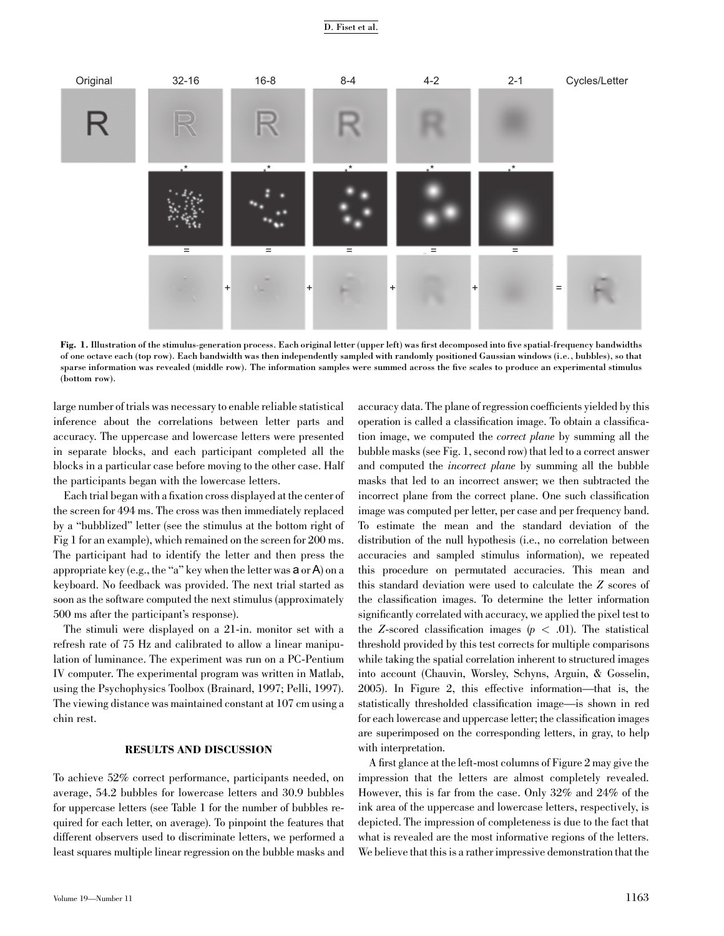# D. Fiset et al.



Fig. 1. Illustration of the stimulus-generation process. Each original letter (upper left) was first decomposed into five spatial-frequency bandwidths of one octave each (top row). Each bandwidth was then independently sampled with randomly positioned Gaussian windows (i.e., bubbles), so that sparse information was revealed (middle row). The information samples were summed across the five scales to produce an experimental stimulus (bottom row).

large number of trials was necessary to enable reliable statistical inference about the correlations between letter parts and accuracy. The uppercase and lowercase letters were presented in separate blocks, and each participant completed all the blocks in a particular case before moving to the other case. Half the participants began with the lowercase letters.

Each trial began with a fixation cross displayed at the center of the screen for 494 ms. The cross was then immediately replaced by a ''bubblized'' letter (see the stimulus at the bottom right of Fig 1 for an example), which remained on the screen for 200 ms. The participant had to identify the letter and then press the appropriate key (e.g., the "a" key when the letter was  $a$  or  $A$ ) on a keyboard. No feedback was provided. The next trial started as soon as the software computed the next stimulus (approximately 500 ms after the participant's response).

The stimuli were displayed on a 21-in. monitor set with a refresh rate of 75 Hz and calibrated to allow a linear manipulation of luminance. The experiment was run on a PC-Pentium IV computer. The experimental program was written in Matlab, using the Psychophysics Toolbox (Brainard, 1997; Pelli, 1997). The viewing distance was maintained constant at 107 cm using a chin rest.

# RESULTS AND DISCUSSION

To achieve 52% correct performance, participants needed, on average, 54.2 bubbles for lowercase letters and 30.9 bubbles for uppercase letters (see Table 1 for the number of bubbles required for each letter, on average). To pinpoint the features that different observers used to discriminate letters, we performed a least squares multiple linear regression on the bubble masks and

operation is called a classification image. To obtain a classification image, we computed the correct plane by summing all the bubble masks (see Fig. 1, second row) that led to a correct answer and computed the incorrect plane by summing all the bubble masks that led to an incorrect answer; we then subtracted the incorrect plane from the correct plane. One such classification image was computed per letter, per case and per frequency band. To estimate the mean and the standard deviation of the distribution of the null hypothesis (i.e., no correlation between accuracies and sampled stimulus information), we repeated this procedure on permutated accuracies. This mean and this standard deviation were used to calculate the Z scores of the classification images. To determine the letter information significantly correlated with accuracy, we applied the pixel test to the Z-scored classification images  $(p < .01)$ . The statistical threshold provided by this test corrects for multiple comparisons while taking the spatial correlation inherent to structured images into account (Chauvin, Worsley, Schyns, Arguin, & Gosselin, 2005). In Figure 2, this effective information—that is, the statistically thresholded classification image—is shown in red for each lowercase and uppercase letter; the classification images are superimposed on the corresponding letters, in gray, to help with interpretation.

accuracy data. The plane of regression coefficients yielded by this

A first glance at the left-most columns of Figure 2 may give the impression that the letters are almost completely revealed. However, this is far from the case. Only 32% and 24% of the ink area of the uppercase and lowercase letters, respectively, is depicted. The impression of completeness is due to the fact that what is revealed are the most informative regions of the letters. We believe that this is a rather impressive demonstration that the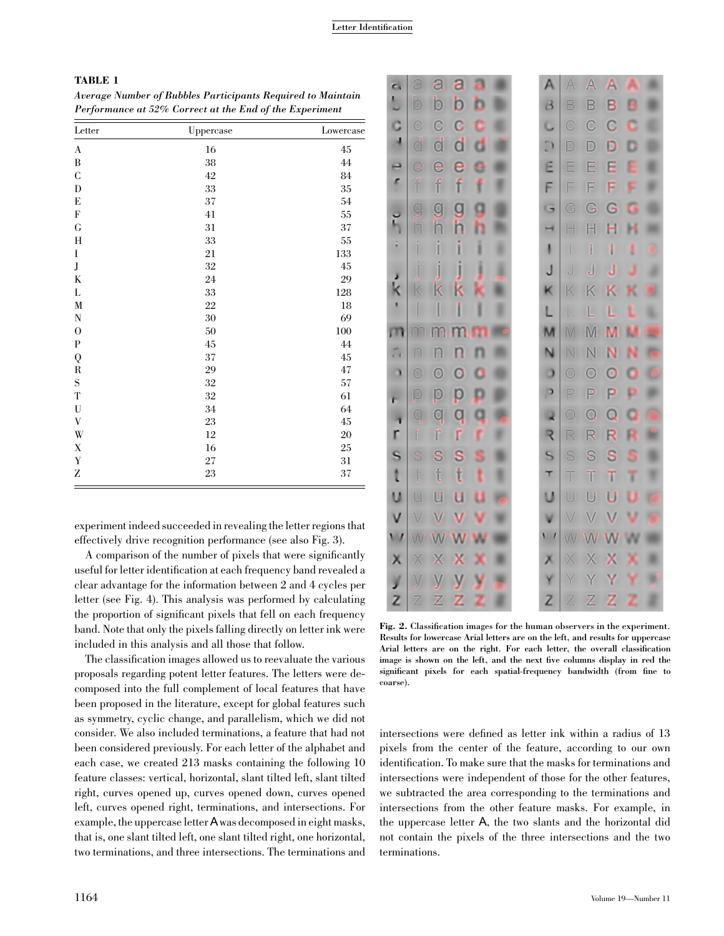#### TABLE 1

Average Number of Bubbles Participants Required to Maintain Performance at 52% Correct at the End of the Experiment

| Letter                  | Uppercase | Lowercase |
|-------------------------|-----------|-----------|
| A                       | 16        | $\rm 45$  |
| B                       | $38\,$    | 44        |
| ${\bf C}$               | $42\,$    | 84        |
| ${\rm D}$               | $33\,$    | 35        |
| E                       | 37        | 54        |
| F                       | 41        | 55        |
| ${\mathbb G}$           | 31        | 37        |
| $\boldsymbol{H}$        | $33\,$    | 55        |
| I                       | 21        | 133       |
| ${\bf J}$               | 32        | 45        |
| K                       | 24        | 29        |
| L                       | $33\,$    | 128       |
| $\mathbf M$             | 22        | $18\,$    |
| N                       | $30\,$    | 69        |
| $\mathbf{O}$            | $50\,$    | 100       |
| ${\bf P}$               | 45        | 44        |
| Q                       | 37        | $\rm 45$  |
| $\rm R$                 | 29        | $47\,$    |
| $\mathbf S$             | 32        | 57        |
| $\mathbf T$             | 32        | 61        |
| $\bf U$                 | $34\,$    | 64        |
| $\mathbf V$             | 23        | $\rm 45$  |
| $\ensuremath{\text{W}}$ | 12        | $20\,$    |
| X                       | 16        | 25        |
| $\mathbf Y$             | $27\,$    | $31\,$    |
| Z                       | 23        | 37        |
|                         |           |           |

experiment indeed succeeded in revealing the letter regions that effectively drive recognition performance (see also Fig. 3).

A comparison of the number of pixels that were significantly useful for letter identification at each frequency band revealed a clear advantage for the information between 2 and 4 cycles per letter (see Fig. 4). This analysis was performed by calculating the proportion of significant pixels that fell on each frequency band. Note that only the pixels falling directly on letter ink were included in this analysis and all those that follow.

The classification images allowed us to reevaluate the various proposals regarding potent letter features. The letters were decomposed into the full complement of local features that have been proposed in the literature, except for global features such as symmetry, cyclic change, and parallelism, which we did not consider. We also included terminations, a feature that had not been considered previously. For each letter of the alphabet and each case, we created 213 masks containing the following 10 feature classes: vertical, horizontal, slant tilted left, slant tilted right, curves opened up, curves opened down, curves opened left, curves opened right, terminations, and intersections. For example, the uppercase letterAwas decomposed in eight masks, that is, one slant tilted left, one slant tilted right, one horizontal, two terminations, and three intersections. The terminations and



Fig. 2. Classification images for the human observers in the experiment. Results for lowercase Arial letters are on the left, and results for uppercase Arial letters are on the right. For each letter, the overall classification image is shown on the left, and the next five columns display in red the significant pixels for each spatial-frequency bandwidth (from fine to coarse).

intersections were defined as letter ink within a radius of 13 pixels from the center of the feature, according to our own identification. To make sure that the masks for terminations and intersections were independent of those for the other features, we subtracted the area corresponding to the terminations and intersections from the other feature masks. For example, in the uppercase letter A, the two slants and the horizontal did not contain the pixels of the three intersections and the two terminations.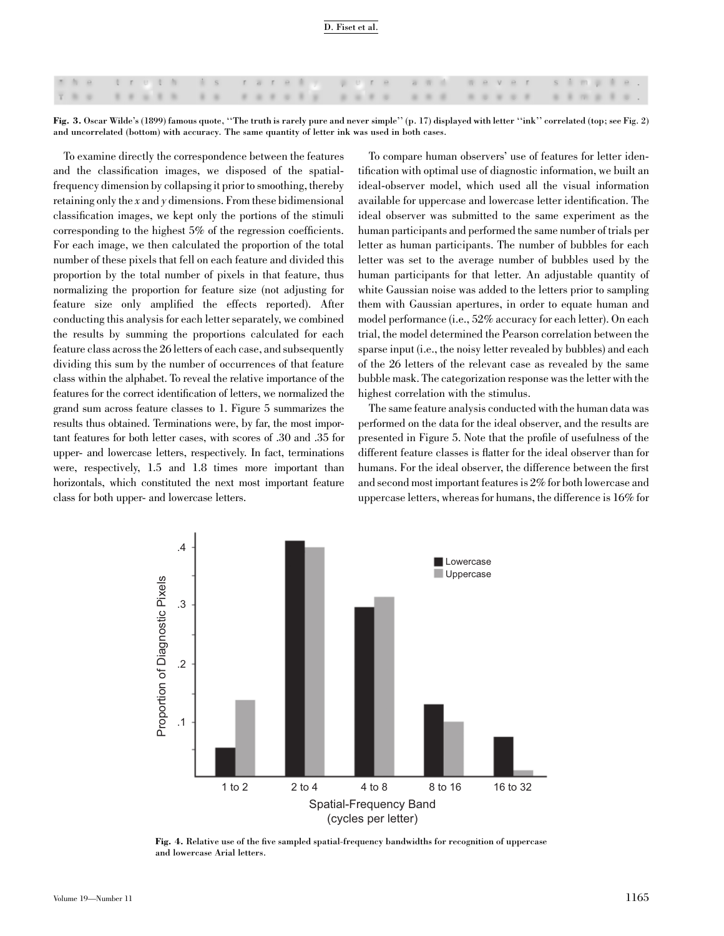#### D. Fiset et al.

|  |  |  |  |  |  |  |  |  |  |  |  |  | The truth is rarely pure and never simple. |  |  |
|--|--|--|--|--|--|--|--|--|--|--|--|--|--------------------------------------------|--|--|
|  |  |  |  |  |  |  |  |  |  |  |  |  | The trath to raroty pare and nover stmpts. |  |  |

Fig. 3. Oscar Wilde's (1899) famous quote, ''The truth is rarely pure and never simple'' (p. 17) displayed with letter ''ink'' correlated (top; see Fig. 2) and uncorrelated (bottom) with accuracy. The same quantity of letter ink was used in both cases.

To examine directly the correspondence between the features and the classification images, we disposed of the spatialfrequency dimension by collapsing it prior to smoothing, thereby retaining only the  $x$  and  $y$  dimensions. From these bidimensional classification images, we kept only the portions of the stimuli corresponding to the highest 5% of the regression coefficients. For each image, we then calculated the proportion of the total number of these pixels that fell on each feature and divided this proportion by the total number of pixels in that feature, thus normalizing the proportion for feature size (not adjusting for feature size only amplified the effects reported). After conducting this analysis for each letter separately, we combined the results by summing the proportions calculated for each feature class across the 26 letters of each case, and subsequently dividing this sum by the number of occurrences of that feature class within the alphabet. To reveal the relative importance of the features for the correct identification of letters, we normalized the grand sum across feature classes to 1. Figure 5 summarizes the results thus obtained. Terminations were, by far, the most important features for both letter cases, with scores of .30 and .35 for upper- and lowercase letters, respectively. In fact, terminations were, respectively, 1.5 and 1.8 times more important than horizontals, which constituted the next most important feature class for both upper- and lowercase letters.

To compare human observers' use of features for letter identification with optimal use of diagnostic information, we built an ideal-observer model, which used all the visual information available for uppercase and lowercase letter identification. The ideal observer was submitted to the same experiment as the human participants and performed the same number of trials per letter as human participants. The number of bubbles for each letter was set to the average number of bubbles used by the human participants for that letter. An adjustable quantity of white Gaussian noise was added to the letters prior to sampling them with Gaussian apertures, in order to equate human and model performance (i.e., 52% accuracy for each letter). On each trial, the model determined the Pearson correlation between the sparse input (i.e., the noisy letter revealed by bubbles) and each of the 26 letters of the relevant case as revealed by the same bubble mask. The categorization response was the letter with the highest correlation with the stimulus.

The same feature analysis conducted with the human data was performed on the data for the ideal observer, and the results are presented in Figure 5. Note that the profile of usefulness of the different feature classes is flatter for the ideal observer than for humans. For the ideal observer, the difference between the first and second most important features is 2% for both lowercase and uppercase letters, whereas for humans, the difference is 16% for



Fig. 4. Relative use of the five sampled spatial-frequency bandwidths for recognition of uppercase and lowercase Arial letters.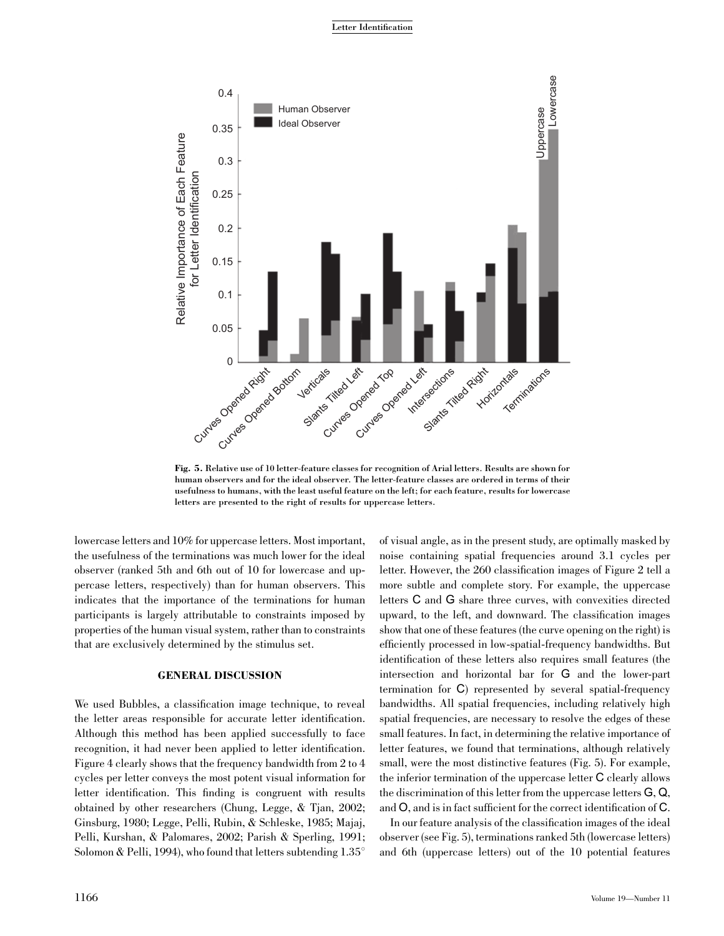

Fig. 5. Relative use of 10 letter-feature classes for recognition of Arial letters. Results are shown for human observers and for the ideal observer. The letter-feature classes are ordered in terms of their usefulness to humans, with the least useful feature on the left; for each feature, results for lowercase letters are presented to the right of results for uppercase letters.

lowercase letters and 10% for uppercase letters. Most important, the usefulness of the terminations was much lower for the ideal observer (ranked 5th and 6th out of 10 for lowercase and uppercase letters, respectively) than for human observers. This indicates that the importance of the terminations for human participants is largely attributable to constraints imposed by properties of the human visual system, rather than to constraints that are exclusively determined by the stimulus set.

# GENERAL DISCUSSION

We used Bubbles, a classification image technique, to reveal the letter areas responsible for accurate letter identification. Although this method has been applied successfully to face recognition, it had never been applied to letter identification. Figure 4 clearly shows that the frequency bandwidth from 2 to 4 cycles per letter conveys the most potent visual information for letter identification. This finding is congruent with results obtained by other researchers (Chung, Legge, & Tjan, 2002; Ginsburg, 1980; Legge, Pelli, Rubin, & Schleske, 1985; Majaj, Pelli, Kurshan, & Palomares, 2002; Parish & Sperling, 1991; Solomon & Pelli, 1994), who found that letters subtending  $1.35^{\circ}$ 

of visual angle, as in the present study, are optimally masked by noise containing spatial frequencies around 3.1 cycles per letter. However, the 260 classification images of Figure 2 tell a more subtle and complete story. For example, the uppercase letters C and G share three curves, with convexities directed upward, to the left, and downward. The classification images show that one of these features (the curve opening on the right) is efficiently processed in low-spatial-frequency bandwidths. But identification of these letters also requires small features (the intersection and horizontal bar for G and the lower-part termination for C) represented by several spatial-frequency bandwidths. All spatial frequencies, including relatively high spatial frequencies, are necessary to resolve the edges of these small features. In fact, in determining the relative importance of letter features, we found that terminations, although relatively small, were the most distinctive features (Fig. 5). For example, the inferior termination of the uppercase letter C clearly allows the discrimination of this letter from the uppercase letters G, Q, and O, and is in fact sufficient for the correct identification of C.

In our feature analysis of the classification images of the ideal observer (see Fig. 5), terminations ranked 5th (lowercase letters) and 6th (uppercase letters) out of the 10 potential features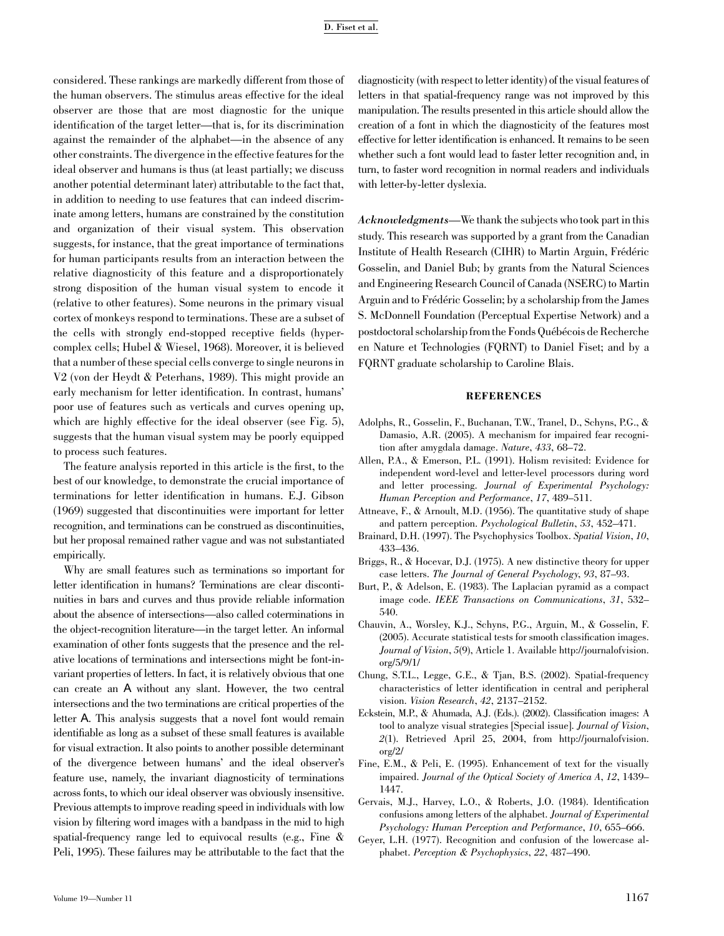# D. Fiset et al.

considered. These rankings are markedly different from those of the human observers. The stimulus areas effective for the ideal observer are those that are most diagnostic for the unique identification of the target letter—that is, for its discrimination against the remainder of the alphabet—in the absence of any other constraints. The divergence in the effective features for the ideal observer and humans is thus (at least partially; we discuss another potential determinant later) attributable to the fact that, in addition to needing to use features that can indeed discriminate among letters, humans are constrained by the constitution and organization of their visual system. This observation suggests, for instance, that the great importance of terminations for human participants results from an interaction between the relative diagnosticity of this feature and a disproportionately strong disposition of the human visual system to encode it (relative to other features). Some neurons in the primary visual cortex of monkeys respond to terminations. These are a subset of the cells with strongly end-stopped receptive fields (hypercomplex cells; Hubel & Wiesel, 1968). Moreover, it is believed that a number of these special cells converge to single neurons in V2 (von der Heydt & Peterhans, 1989). This might provide an early mechanism for letter identification. In contrast, humans' poor use of features such as verticals and curves opening up, which are highly effective for the ideal observer (see Fig. 5), suggests that the human visual system may be poorly equipped to process such features.

The feature analysis reported in this article is the first, to the best of our knowledge, to demonstrate the crucial importance of terminations for letter identification in humans. E.J. Gibson (1969) suggested that discontinuities were important for letter recognition, and terminations can be construed as discontinuities, but her proposal remained rather vague and was not substantiated empirically.

Why are small features such as terminations so important for letter identification in humans? Terminations are clear discontinuities in bars and curves and thus provide reliable information about the absence of intersections—also called coterminations in the object-recognition literature—in the target letter. An informal examination of other fonts suggests that the presence and the relative locations of terminations and intersections might be font-invariant properties of letters. In fact, it is relatively obvious that one can create an A without any slant. However, the two central intersections and the two terminations are critical properties of the letter A. This analysis suggests that a novel font would remain identifiable as long as a subset of these small features is available for visual extraction. It also points to another possible determinant of the divergence between humans' and the ideal observer's feature use, namely, the invariant diagnosticity of terminations across fonts, to which our ideal observer was obviously insensitive. Previous attempts to improve reading speed in individuals with low vision by filtering word images with a bandpass in the mid to high spatial-frequency range led to equivocal results (e.g., Fine & Peli, 1995). These failures may be attributable to the fact that the diagnosticity (with respect to letter identity) of the visual features of letters in that spatial-frequency range was not improved by this manipulation. The results presented in this article should allow the creation of a font in which the diagnosticity of the features most effective for letter identification is enhanced. It remains to be seen whether such a font would lead to faster letter recognition and, in turn, to faster word recognition in normal readers and individuals with letter-by-letter dyslexia.

Acknowledgments—We thank the subjects who took part in this study. This research was supported by a grant from the Canadian Institute of Health Research (CIHR) to Martin Arguin, Frédéric Gosselin, and Daniel Bub; by grants from the Natural Sciences and Engineering Research Council of Canada (NSERC) to Martin Arguin and to Frédéric Gosselin; by a scholarship from the James S. McDonnell Foundation (Perceptual Expertise Network) and a postdoctoral scholarship from the Fonds Québécois de Recherche en Nature et Technologies (FQRNT) to Daniel Fiset; and by a FQRNT graduate scholarship to Caroline Blais.

### REFERENCES

- Adolphs, R., Gosselin, F., Buchanan, T.W., Tranel, D., Schyns, P.G., & Damasio, A.R. (2005). A mechanism for impaired fear recognition after amygdala damage. Nature, 433, 68–72.
- Allen, P.A., & Emerson, P.L. (1991). Holism revisited: Evidence for independent word-level and letter-level processors during word and letter processing. Journal of Experimental Psychology: Human Perception and Performance, 17, 489–511.
- Attneave, F., & Arnoult, M.D. (1956). The quantitative study of shape and pattern perception. Psychological Bulletin, 53, 452–471.
- Brainard, D.H. (1997). The Psychophysics Toolbox. Spatial Vision, 10, 433–436.
- Briggs, R., & Hocevar, D.J. (1975). A new distinctive theory for upper case letters. The Journal of General Psychology, 93, 87–93.
- Burt, P., & Adelson, E. (1983). The Laplacian pyramid as a compact image code. IEEE Transactions on Communications, 31, 532– 540.
- Chauvin, A., Worsley, K.J., Schyns, P.G., Arguin, M., & Gosselin, F. (2005). Accurate statistical tests for smooth classification images. Journal of Vision, 5(9), Article 1. Available http://journalofvision. org/5/9/1/
- Chung, S.T.L., Legge, G.E., & Tjan, B.S. (2002). Spatial-frequency characteristics of letter identification in central and peripheral vision. Vision Research, 42, 2137–2152.
- Eckstein, M.P., & Ahumada, A.J. (Eds.). (2002). Classification images: A tool to analyze visual strategies [Special issue]. Journal of Vision, 2(1). Retrieved April 25, 2004, from http://journalofvision. org/2/
- Fine, E.M., & Peli, E. (1995). Enhancement of text for the visually impaired. Journal of the Optical Society of America A, 12, 1439– 1447.
- Gervais, M.J., Harvey, L.O., & Roberts, J.O. (1984). Identification confusions among letters of the alphabet. Journal of Experimental Psychology: Human Perception and Performance, 10, 655–666.
- Geyer, L.H. (1977). Recognition and confusion of the lowercase alphabet. Perception & Psychophysics, 22, 487–490.